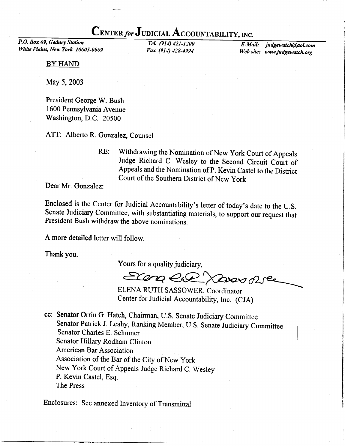## CENTER for JUDICIAL ACCOUNTABILITY, INC.

P.O. Box 69, Gedney Station White Plains, New York 10605-0069

TeL (911) 421-1200 Fox (914) 128-4994

E-Mail: judgewatch@aol.com Web site: www.judgewatch.org

BY HAND

May 5,2003

President George W. Bush I 600 Pennsylvania Avenue Washington, D.C. 20500

ATT: Alberto R. Gonzalez, Counsel

RE: withdrawing the Nomination of New york court of Appeals Judge Richard C. Wesley to the Second Circuit Court of Appeals and the Nomination of P. Kevin Castel to the District Court of the Southern District of New york

Dear Mr. Gonzalez:

Enclosed is the Center for Judicial Accountability's leffer of today's date to the U.S. Senate Judiciary Committee, with substantiating materials, to support our request that President Bush withdraw the above nominations.

A more detailed letter will follow.

Thank you.

Yours for a quality judiciary,

Elong CLR Xavas pre

ELENA RUTH SASSOWER, Coordinator Center for Judicial Accountability, Inc. (CJA)

cc: Senator Orrin G. Hatch, Chairman, U.S. Senate Judiciary Committee Senator Patrick J. Leahy, Ranking Member, U.S. Senate Judiciary Committee Senator Charles E. Schumer Senator Hillary Rodham Clinton American Bar Association Association of the Bar of the City of New York New York Court of Appeals Judge Richard C. Wesley P. Kevin Castel, Esq. The Press

Enclosures: See annexed Inventory of Transmittal